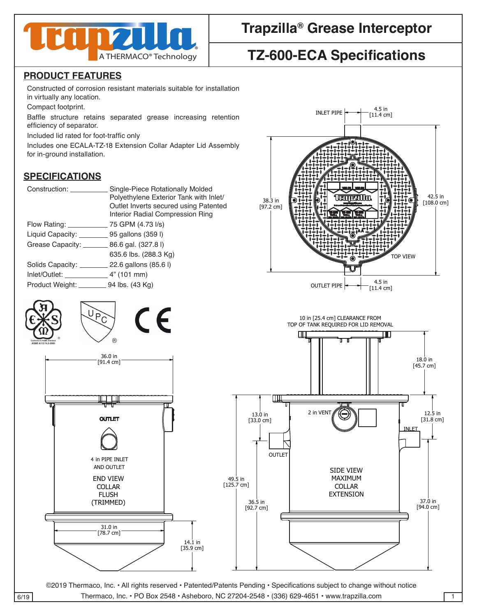

## **Trapzilla® Grease Interceptor**

# **TZ-600-ECA Specifications**

Constructed of corrosion resistant materials suitable for installation in virtually any location.

Compact footprint.

Baffle structure retains separated grease increasing retention efficiency of separator.

Included lid rated for foot-traffic only

for in-ground installation. Includes one ECALA-TZ-18 Extension Collar Adapter Lid Assembly

### **SPECIFICATIONS**

| Single-Piece Rotationally Molded<br>Polyethylene Exterior Tank with Inlet/<br>Outlet Inverts secured using Patented<br>Interior Radial Compression Ring |
|---------------------------------------------------------------------------------------------------------------------------------------------------------|
| 75 GPM (4.73 l/s)<br>Flow Rating: <u>___________</u>                                                                                                    |
| Liquid Capacity: ___________ 95 gallons (359 l)                                                                                                         |
| Grease Capacity: __________ 86.6 gal. (327.8 l)                                                                                                         |
| 635.6 lbs. (288.3 Kg)                                                                                                                                   |
| Solids Capacity: 22.6 gallons (85.6 l)                                                                                                                  |
|                                                                                                                                                         |
| Product Weight: 94 lbs. (43 Kg)                                                                                                                         |
|                                                                                                                                                         |





 $\overline{6/19}$  Thermaco, Inc. • PO Box 2548 • Asheboro, NC 27204-2548 • (336) 629-4651 • www.trapzilla.com 1

THIS DRAWING CONTAINS PROPRIETARY AND PATENTED MATERIAL. THIS DRAWING MAY NOT BE REPRODUCED IN WHOLE OR PART WITHOUT